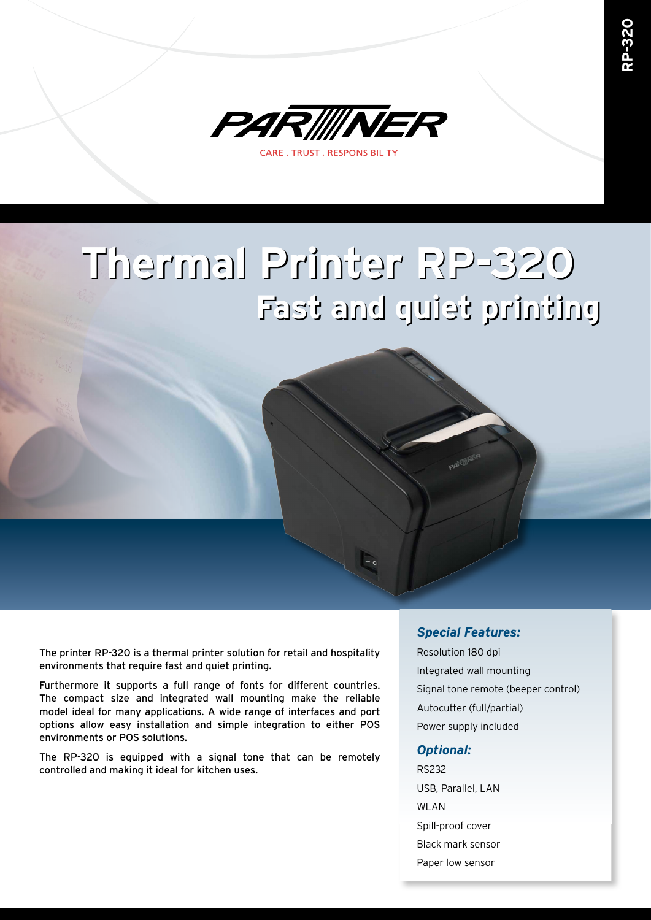

# **Thermal Printer RP-320 Thermal Printer RP-320 Fast and quiet printing Fast and quiet printing**

The printer RP-320 is a thermal printer solution for retail and hospitality environments that require fast and quiet printing.

Furthermore it supports a full range of fonts for different countries. The compact size and integrated wall mounting make the reliable model ideal for many applications. A wide range of interfaces and port options allow easy installation and simple integration to either POS environments or POS solutions.

The RP-320 is equipped with a signal tone that can be remotely controlled and making it ideal for kitchen uses.

#### *Special Features:*

Resolution 180 dpi Integrated wall mounting Signal tone remote (beeper control) Autocutter (full/partial) Power supply included

#### *Optional:*

RS232 USB, Parallel, LAN WLAN Spill-proof cover Black mark sensor Paper low sensor